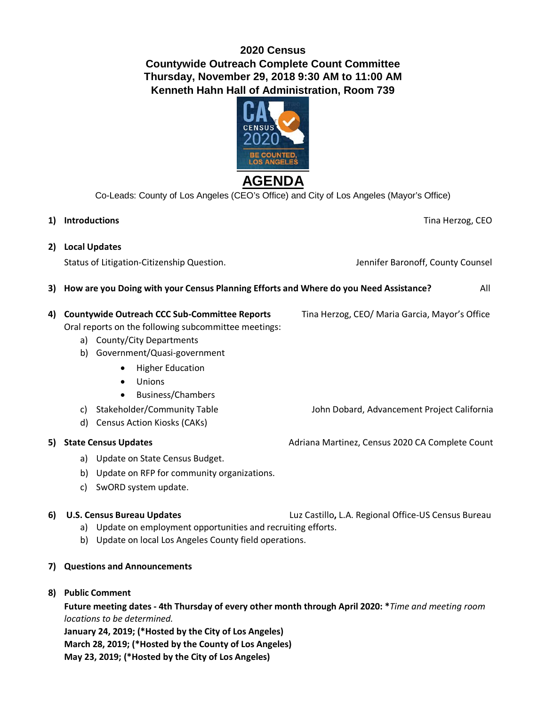## **2020 Census Countywide Outreach Complete Count Committee Thursday, November 29, 2018 9:30 AM to 11:00 AM Kenneth Hahn Hall of Administration, Room 739**



Co-Leads: County of Los Angeles (CEO's Office) and City of Los Angeles (Mayor's Office)

**1) Introductions** Tina Herzog, CEO **2) Local Updates**  Status of Litigation-Citizenship Question. The County County Counsel Status of Litigation-Citizenship Question. **3) How are you Doing with your Census Planning Efforts and Where do you Need Assistance?** All **4) Countywide Outreach CCC Sub-Committee Reports** Tina Herzog, CEO/ Maria Garcia, Mayor's Office Oral reports on the following subcommittee meetings: a) County/City Departments b) Government/Quasi-government • Higher Education • Unions • Business/Chambers c) Stakeholder/Community Table John Dobard, Advancement Project California d) Census Action Kiosks (CAKs) **5) State Census Updates <b>Adriana Martinez**, Census 2020 CA Complete Count a) Update on State Census Budget. b) Update on RFP for community organizations. c) SwORD system update. **6) U.S. Census Bureau Updates** Luz Castillo**,** L.A. Regional Office-US Census Bureau a) Update on employment opportunities and recruiting efforts. b) Update on local Los Angeles County field operations. **7) Questions and Announcements 8) Public Comment** 

**Future meeting dates - 4th Thursday of every other month through April 2020: \****Time and meeting room locations to be determined.* 

**January 24, 2019; (\*Hosted by the City of Los Angeles) March 28, 2019; (\*Hosted by the County of Los Angeles) May 23, 2019; (\*Hosted by the City of Los Angeles)**